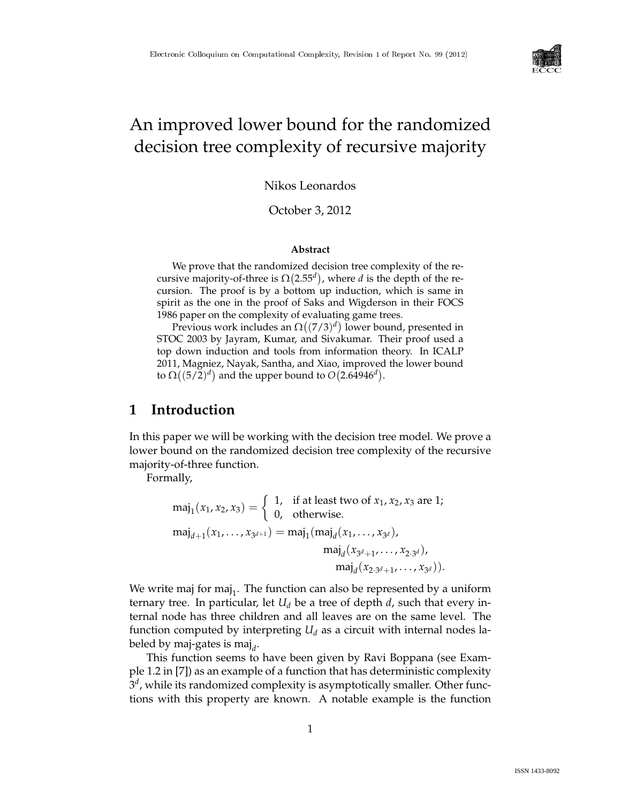

# An improved lower bound for the randomized decision tree complexity of recursive majority

Nikos Leonardos

October 3, 2012

### **Abstract**

We prove that the randomized decision tree complexity of the recursive majority-of-three is  $\Omega(2.55^d)$ , where *d* is the depth of the recursion. The proof is by a bottom up induction, which is same in spirit as the one in the proof of Saks and Wigderson in their FOCS 1986 paper on the complexity of evaluating game trees.

Previous work includes an  $\Omega((7/3)^d)$  lower bound, presented in STOC 2003 by Jayram, Kumar, and Sivakumar. Their proof used a top down induction and tools from information theory. In ICALP 2011, Magniez, Nayak, Santha, and Xiao, improved the lower bound to  $\Omega((5/2)^d)$  and the upper bound to  $O(2.64946^d)$ .

# **1 Introduction**

In this paper we will be working with the decision tree model. We prove a lower bound on the randomized decision tree complexity of the recursive majority-of-three function.

Formally,

$$
maj_1(x_1, x_2, x_3) = \begin{cases} 1, & \text{if at least two of } x_1, x_2, x_3 \text{ are 1;} \\ 0, & \text{otherwise.} \end{cases}
$$

$$
maj_{d+1}(x_1, ..., x_{3^{d+1}}) = maj_1(maj_d(x_1, ..., x_{3^d}),
$$

$$
maj_d(x_{3^d+1}, ..., x_{2 \cdot 3^d}),
$$

$$
maj_d(x_{2 \cdot 3^d+1}, ..., x_{3^d})).
$$

We write maj for maj<sub>1</sub>. The function can also be represented by a uniform ternary tree. In particular, let  $U_d$  be a tree of depth  $d$ , such that every internal node has three children and all leaves are on the same level. The function computed by interpreting  $U_d$  as a circuit with internal nodes labeled by maj-gates is maj<sub>d</sub>.

This function seems to have been given by Ravi Boppana (see Example 1.2 in [7]) as an example of a function that has deterministic complexity 3 *d* , while its randomized complexity is asymptotically smaller. Other functions with this property are known. A notable example is the function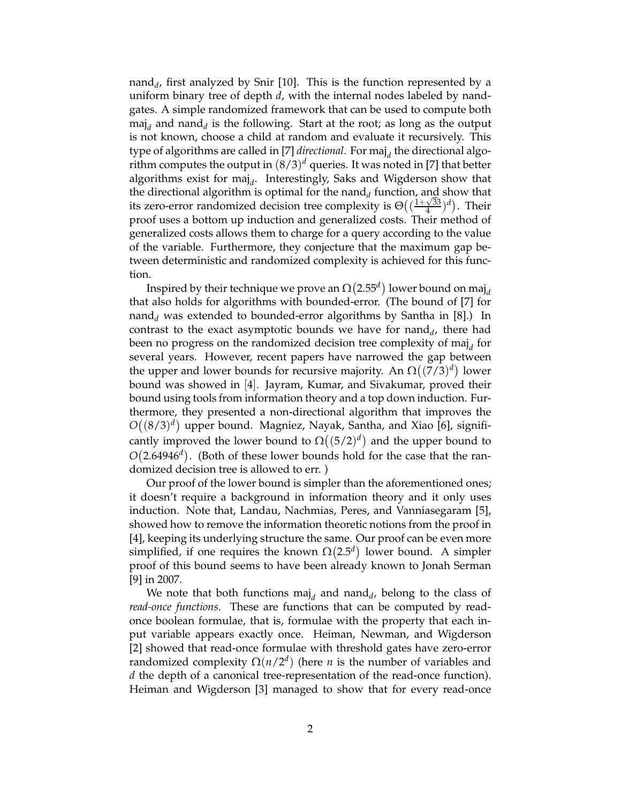nand*<sup>d</sup>* , first analyzed by Snir [10]. This is the function represented by a uniform binary tree of depth *d*, with the internal nodes labeled by nandgates. A simple randomized framework that can be used to compute both maj<sub>d</sub> and nand<sub>d</sub> is the following. Start at the root; as long as the output is not known, choose a child at random and evaluate it recursively. This type of algorithms are called in [7] *directional*. For maj<sub>d</sub> the directional algorithm computes the output in (8/3) *<sup>d</sup>* queries. It was noted in [7] that better algorithms exist for maj<sub>d</sub>. Interestingly, Saks and Wigderson show that the directional algorithm is optimal for the nand<sub>*d*</sub> function, and show that its zero-error randomized decision tree complexity is  $\Theta((\frac{1+\sqrt{33}}{4}))$  $\frac{\sqrt{33}}{4})^d$ ). Their proof uses a bottom up induction and generalized costs. Their method of generalized costs allows them to charge for a query according to the value of the variable. Furthermore, they conjecture that the maximum gap between deterministic and randomized complexity is achieved for this function.

Inspired by their technique we prove an  $\Omega(2.55^d)$  lower bound on maj<sub>d</sub> that also holds for algorithms with bounded-error. (The bound of [7] for nand*<sup>d</sup>* was extended to bounded-error algorithms by Santha in [8].) In contrast to the exact asymptotic bounds we have for  $\text{nand}_d$ , there had been no progress on the randomized decision tree complexity of maj<sub>*d*</sub> for several years. However, recent papers have narrowed the gap between the upper and lower bounds for recursive majority. An  $\Omega((7/3)^d)$  lower bound was showed in [4]. Jayram, Kumar, and Sivakumar, proved their bound using tools from information theory and a top down induction. Furthermore, they presented a non-directional algorithm that improves the  $O((8/3)^d)$  upper bound. Magniez, Nayak, Santha, and Xiao [6], significantly improved the lower bound to  $\Omega((5/2)^d)$  and the upper bound to  $O(2.64946<sup>d</sup>)$ . (Both of these lower bounds hold for the case that the randomized decision tree is allowed to err. )

Our proof of the lower bound is simpler than the aforementioned ones; it doesn't require a background in information theory and it only uses induction. Note that, Landau, Nachmias, Peres, and Vanniasegaram [5], showed how to remove the information theoretic notions from the proof in [4], keeping its underlying structure the same. Our proof can be even more simplified, if one requires the known  $\Omega(2.5^d)$  lower bound. A simpler proof of this bound seems to have been already known to Jonah Serman [9] in 2007.

We note that both functions maj<sub>d</sub> and nand<sub>d</sub>, belong to the class of *read-once functions*. These are functions that can be computed by readonce boolean formulae, that is, formulae with the property that each input variable appears exactly once. Heiman, Newman, and Wigderson [2] showed that read-once formulae with threshold gates have zero-error randomized complexity  $\Omega(n/2^d)$  (here *n* is the number of variables and *d* the depth of a canonical tree-representation of the read-once function). Heiman and Wigderson [3] managed to show that for every read-once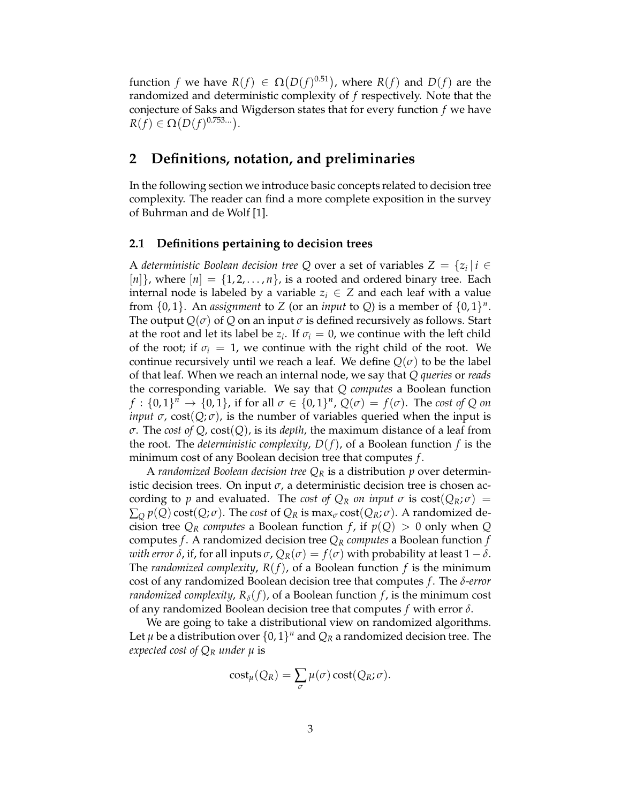function *f* we have  $R(f) \in \Omega(D(f)^{0.51})$ , where  $R(f)$  and  $D(f)$  are the randomized and deterministic complexity of *f* respectively. Note that the conjecture of Saks and Wigderson states that for every function *f* we have  $R(f) \in \Omega(D(f)^{0.753...}).$ 

# **2 Definitions, notation, and preliminaries**

In the following section we introduce basic concepts related to decision tree complexity. The reader can find a more complete exposition in the survey of Buhrman and de Wolf [1].

### **2.1 Definitions pertaining to decision trees**

A *deterministic Boolean decision tree* Q over a set of variables  $Z = \{z_i | i \in \mathbb{N}\}$  $[n]$ , where  $[n] = \{1, 2, ..., n\}$ , is a rooted and ordered binary tree. Each internal node is labeled by a variable  $z_i \in Z$  and each leaf with a value from  $\{0, 1\}$ . An *assignment* to *Z* (or an *input* to *Q*) is a member of  $\{0, 1\}^n$ . The output  $Q(\sigma)$  of  $Q$  on an input  $\sigma$  is defined recursively as follows. Start at the root and let its label be  $z_i$ . If  $\sigma_i = 0$ , we continue with the left child of the root; if  $\sigma_i = 1$ , we continue with the right child of the root. We continue recursively until we reach a leaf. We define  $Q(\sigma)$  to be the label of that leaf. When we reach an internal node, we say that *Q queries* or *reads* the corresponding variable. We say that *Q computes* a Boolean function  $f: \{0,1\}^n \to \{0,1\}$ , if for all  $\sigma \in \{0,1\}^n$ ,  $Q(\sigma) = f(\sigma)$ . The cost of Q on *input*  $\sigma$ , cost( $Q; \sigma$ ), is the number of variables queried when the input is *σ*. The *cost of Q*, cost(*Q*), is its *depth*, the maximum distance of a leaf from the root. The *deterministic complexity*, *D*(*f*), of a Boolean function *f* is the minimum cost of any Boolean decision tree that computes *f* .

A *randomized Boolean decision tree Q<sup>R</sup>* is a distribution *p* over deterministic decision trees. On input  $\sigma$ , a deterministic decision tree is chosen according to *p* and evaluated. The *cost of*  $Q_R$  *on input*  $\sigma$  is  $cost(Q_R; \sigma)$  =  $\sum_{Q} p(Q) \text{cost}(Q; \sigma)$ . The *cost* of  $Q_R$  is max<sub> $\sigma$ </sub> cost( $Q_R; \sigma$ ). A randomized decision tree  $Q_R$  *computes* a Boolean function *f*, if  $p(Q) > 0$  only when *Q* computes *f*. A randomized decision tree  $Q_R$  *computes* a Boolean function *f with error*  $\delta$ , if, for all inputs  $\sigma$ ,  $Q_R(\sigma) = f(\sigma)$  with probability at least 1 –  $\delta$ . The *randomized complexity*,  $R(f)$ , of a Boolean function  $f$  is the minimum cost of any randomized Boolean decision tree that computes *f* . The *δ-error randomized complexity,*  $R_\delta(f)$ , of a Boolean function *f*, is the minimum cost of any randomized Boolean decision tree that computes *f* with error *δ*.

We are going to take a distributional view on randomized algorithms. Let  $\mu$  be a distribution over  $\{0,1\}^n$  and  $Q_R$  a randomized decision tree. The *expected cost of Q<sup>R</sup> under µ* is

$$
cost_{\mu}(Q_R) = \sum_{\sigma} \mu(\sigma) cost(Q_R; \sigma).
$$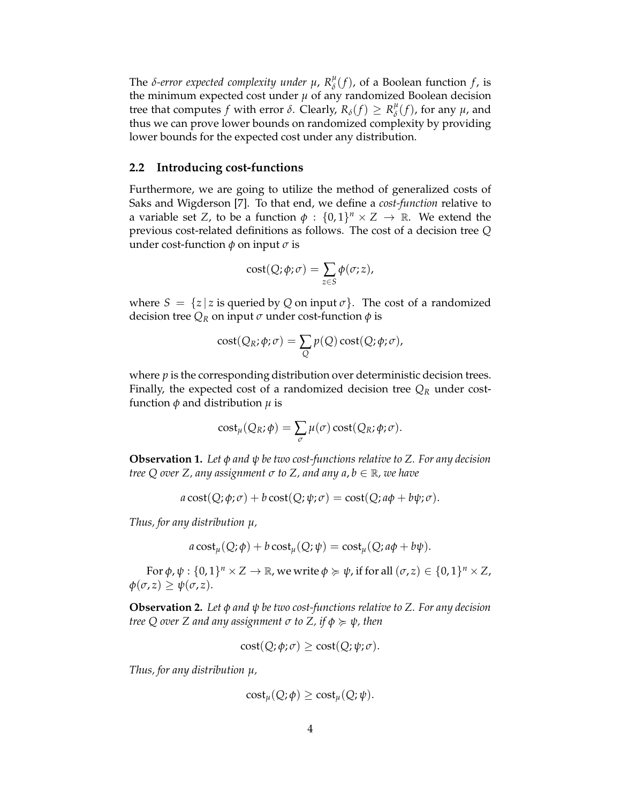The *δ*-error expected complexity under  $\mu$ ,  $R^{\mu}_{\delta}$  $\int_{\delta}^{\mu} (f)$ , of a Boolean function *f*, is the minimum expected cost under  $\mu$  of any randomized Boolean decision tree that computes *f* with error  $\delta$ . Clearly,  $R_{\delta}(f) \geq R_{\delta}^{\mu}$  $\int_{\delta}^{\mu} (f)$ , for any  $\mu$ , and thus we can prove lower bounds on randomized complexity by providing lower bounds for the expected cost under any distribution.

### **2.2 Introducing cost-functions**

Furthermore, we are going to utilize the method of generalized costs of Saks and Wigderson [7]. To that end, we define a *cost-function* relative to a variable set *Z*, to be a function  $\phi : \{0,1\}^n \times Z \to \mathbb{R}$ . We extend the previous cost-related definitions as follows. The cost of a decision tree *Q* under cost-function  $\phi$  on input  $\sigma$  is

$$
cost(Q; \phi; \sigma) = \sum_{z \in S} \phi(\sigma; z),
$$

where  $S = \{z \mid z \text{ is queried by } Q \text{ on input } \sigma\}$ . The cost of a randomized decision tree  $Q_R$  on input  $\sigma$  under cost-function  $\phi$  is

$$
cost(Q_R; \phi; \sigma) = \sum_{Q} p(Q) \, cost(Q; \phi; \sigma),
$$

where *p* is the corresponding distribution over deterministic decision trees. Finally, the expected cost of a randomized decision tree  $Q_R$  under costfunction *φ* and distribution *µ* is

$$
cost_{\mu}(Q_R; \phi) = \sum_{\sigma} \mu(\sigma) cost(Q_R; \phi; \sigma).
$$

**Observation 1.** *Let φ and ψ be two cost-functions relative to Z. For any decision tree Q over Z, any assignment <sup>σ</sup> to Z, and any a*, *<sup>b</sup>* <sup>∈</sup> <sup>R</sup>*, we have*

$$
a \cos t(Q; \phi; \sigma) + b \cos t(Q; \psi; \sigma) = \cos t(Q; a\phi + b\psi; \sigma).
$$

*Thus, for any distribution µ,*

$$
a \cos t_{\mu}(Q; \phi) + b \cos t_{\mu}(Q; \psi) = \cos t_{\mu}(Q; a\phi + b\psi).
$$

For  $\phi$ ,  $\psi$  :  $\{0,1\}^n \times Z \to \mathbb{R}$ , we write  $\phi \succcurlyeq \psi$ , if for all  $(\sigma, z) \in \{0,1\}^n \times Z$ ,  $\phi(\sigma, z) \geq \psi(\sigma, z).$ 

**Observation 2.** *Let φ and ψ be two cost-functions relative to Z. For any decision tree* Q over Z and any assignment  $\sigma$  *to* Z, *if*  $\phi \geq \psi$ , then

$$
cost(Q; \phi; \sigma) \geq cost(Q; \psi; \sigma).
$$

*Thus, for any distribution µ,*

$$
cost_{\mu}(Q; \phi) \geq cost_{\mu}(Q; \psi).
$$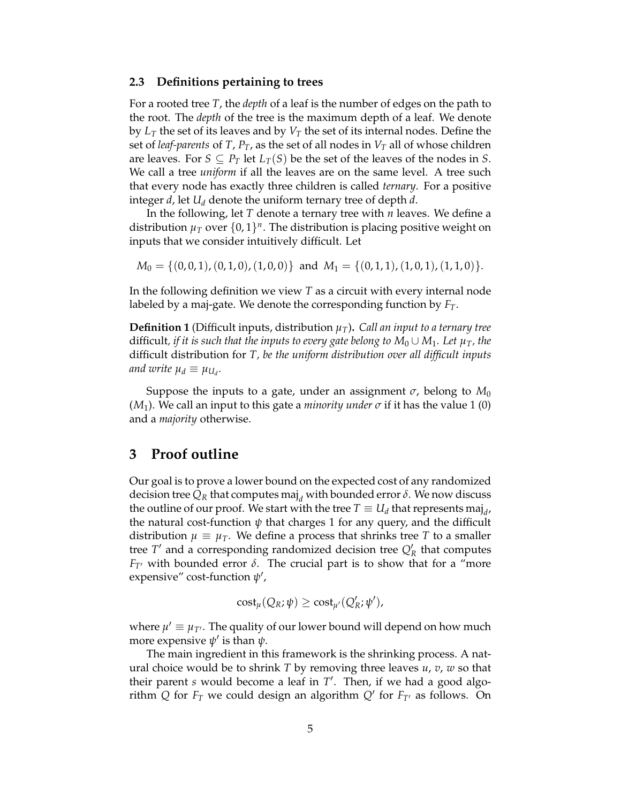### **2.3 Definitions pertaining to trees**

For a rooted tree *T*, the *depth* of a leaf is the number of edges on the path to the root. The *depth* of the tree is the maximum depth of a leaf. We denote by *L<sup>T</sup>* the set of its leaves and by *V<sup>T</sup>* the set of its internal nodes. Define the set of *leaf-parents* of *T*,  $P_T$ , as the set of all nodes in  $V_T$  all of whose children are leaves. For  $S \subseteq P_T$  let  $L_T(S)$  be the set of the leaves of the nodes in *S*. We call a tree *uniform* if all the leaves are on the same level. A tree such that every node has exactly three children is called *ternary*. For a positive integer *d*, let *U<sup>d</sup>* denote the uniform ternary tree of depth *d*.

In the following, let *T* denote a ternary tree with *n* leaves. We define a distribution  $\mu_T$  over  $\{0,1\}^n$ . The distribution is placing positive weight on inputs that we consider intuitively difficult. Let

 $M_0 = \{(0, 0, 1), (0, 1, 0), (1, 0, 0)\}\$ and  $M_1 = \{(0, 1, 1), (1, 0, 1), (1, 1, 0)\}\.$ 

In the following definition we view *T* as a circuit with every internal node labeled by a maj-gate. We denote the corresponding function by *FT*.

**Definition 1** (Difficult inputs, distribution *µT*)**.** *Call an input to a ternary tree* difficult, if it is such that the inputs to every gate belong to  $M_0 \cup M_1$ . Let  $\mu_T$ , the difficult distribution for *T, be the uniform distribution over all difficult inputs and write*  $\mu_d \equiv \mu_{U_d}$ .

Suppose the inputs to a gate, under an assignment  $\sigma$ , belong to  $M_0$ ( $M_1$ ). We call an input to this gate a *minority under*  $\sigma$  if it has the value 1 (0) and a *majority* otherwise.

## **3 Proof outline**

Our goal is to prove a lower bound on the expected cost of any randomized decision tree  $Q_R$  that computes maj<sub>d</sub> with bounded error  $\delta$ . We now discuss the outline of our proof. We start with the tree  $T \equiv U_d$  that represents maj<sub>d</sub>, the natural cost-function  $\psi$  that charges 1 for any query, and the difficult distribution  $\mu \equiv \mu_T$ . We define a process that shrinks tree *T* to a smaller tree  $T'$  and a corresponding randomized decision tree  $Q'_R$  that computes *F*<sub>*T'*</sub> with bounded error  $\delta$ . The crucial part is to show that for a "more" expensive" cost-function *ψ* ′ ,

$$
cost_{\mu}(Q_R; \psi) \geq cost_{\mu'}(Q'_R; \psi'),
$$

where  $\mu' \equiv \mu_{T'}$ . The quality of our lower bound will depend on how much more expensive *ψ* ′ is than *ψ*.

The main ingredient in this framework is the shrinking process. A natural choice would be to shrink *T* by removing three leaves *u*, *v*, *w* so that their parent *s* would become a leaf in *T* ′ . Then, if we had a good algorithm  $Q$  for  $F_T$  we could design an algorithm  $Q'$  for  $F_{T'}$  as follows. On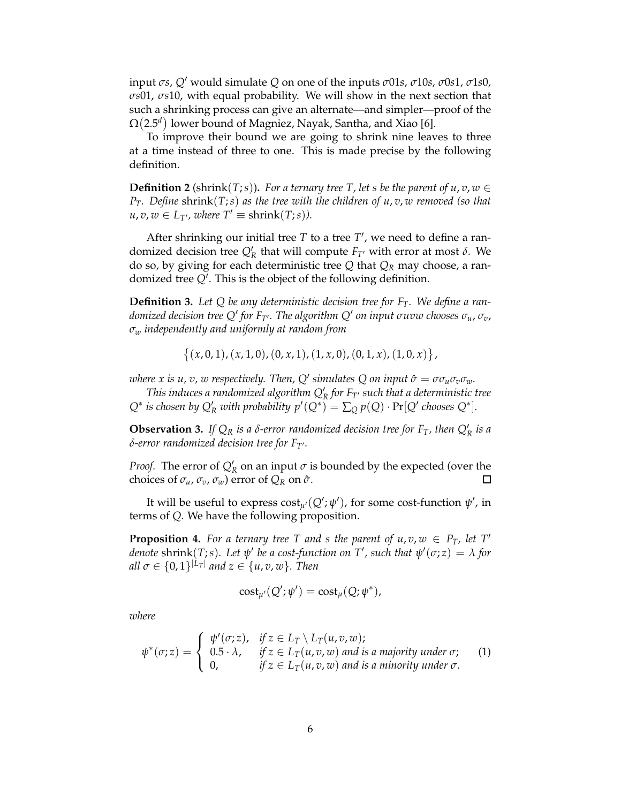input *σs*, *Q*′ would simulate *Q* on one of the inputs *σ*01*s*, *σ*10*s*, *σ*0*s*1, *σ*1*s*0, *σs*01, *σs*10, with equal probability. We will show in the next section that such a shrinking process can give an alternate—and simpler—proof of the  $\Omega(2.5^d)$  lower bound of Magniez, Nayak, Santha, and Xiao [6].

To improve their bound we are going to shrink nine leaves to three at a time instead of three to one. This is made precise by the following definition.

**Definition 2** (shrink(*T*;*s*)). For a ternary tree *T*, let *s* be the parent of  $u, v, w \in$ *PT. Define* shrink(*T*;*s*) *as the tree with the children of u*, *v*, *w removed (so that*  $u, v, w \in L_{T'}$ , where  $T' \equiv \text{shrink}(T; s)$ ).

After shrinking our initial tree *T* to a tree *T* ′ , we need to define a randomized decision tree  $Q'_R$  that will compute  $F_{T'}$  with error at most *δ*. We do so, by giving for each deterministic tree *Q* that *Q<sup>R</sup>* may choose, a randomized tree *Q*′ . This is the object of the following definition.

**Definition 3.** *Let Q be any deterministic decision tree for FT. We define a randomized decision tree Q*′ *for FT*′ *. The algorithm Q*′ *on input σuvw chooses σu*, *σv*, *σ<sup>w</sup> independently and uniformly at random from*

 $\{(x, 0, 1), (x, 1, 0), (0, x, 1), (1, x, 0), (0, 1, x), (1, 0, x)\},\$ 

 $\omega$  *where x is u, v, w respectively. Then,*  $Q'$  *simulates*  $Q$  *on input*  $\hat{\sigma} = \sigma \sigma_u \sigma_v \sigma_w$ *.* 

*This induces a randomized algorithm Q*′ *R for FT*′ *such that a deterministic tree*  $Q^*$  *is chosen by*  $Q'_R$  *with probability*  $p'(Q^*) = \sum_Q p(Q) \cdot \Pr[Q'$  *chooses*  $Q^*$ .

**Observation 3.** If  $Q_R$  is a  $\delta$ -error randomized decision tree for  $F_T$ , then  $Q'_R$  is a *δ-error randomized decision tree for FT*′*.*

*Proof.* The error of  $Q'_R$  on an input  $\sigma$  is bounded by the expected (over the choices of  $\sigma_u$ ,  $\sigma_v$ ,  $\sigma_w$ ) error of  $Q_R$  on  $\hat{\sigma}$ .  $\Box$ 

It will be useful to express  $\mathrm{cost}_{\mu'}(Q';\psi')$ , for some cost-function  $\psi'$ , in terms of *Q*. We have the following proposition.

**Proposition 4.** For a ternary tree T and s the parent of  $u, v, w \in P_T$ , let T' *denote* shrink(T;s). Let  $\psi'$  be a cost-function on T', such that  $\psi'(\sigma;z) = \lambda$  for  $all \ \sigma \in \{0,1\}^{|L_T|}$  and  $z \in \{u,v,w\}$ . Then

$$
\mathrm{cost}_{\mu'}(Q';\psi') = \mathrm{cost}_{\mu}(Q;\psi^*),
$$

*where*

$$
\psi^*(\sigma; z) = \begin{cases} \psi'(\sigma; z), & \text{if } z \in L_T \setminus L_T(u, v, w); \\ 0.5 \cdot \lambda, & \text{if } z \in L_T(u, v, w) \text{ and is a majority under } \sigma; \\ 0, & \text{if } z \in L_T(u, v, w) \text{ and is a minority under } \sigma. \end{cases}
$$
 (1)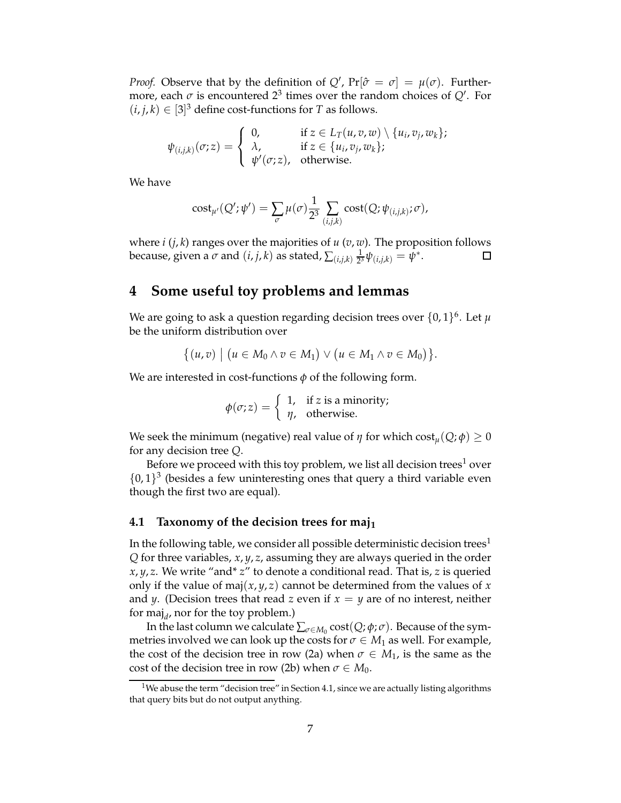*Proof.* Observe that by the definition of  $Q'$ ,  $Pr[\hat{\sigma} = \sigma] = \mu(\sigma)$ . Furthermore, each  $\sigma$  is encountered 2<sup>3</sup> times over the random choices of  $Q'$ . For  $(i, j, k) \in [3]^3$  define cost-functions for *T* as follows.

$$
\psi_{(i,j,k)}(\sigma; z) = \begin{cases} 0, & \text{if } z \in L_T(u,v,w) \setminus \{u_i,v_j,w_k\};\\ \lambda, & \text{if } z \in \{u_i,v_j,w_k\};\\ \psi'(\sigma; z), & \text{otherwise.} \end{cases}
$$

We have

$$
cost_{\mu'}(Q';\psi') = \sum_{\sigma} \mu(\sigma) \frac{1}{2^3} \sum_{(i,j,k)} cost(Q;\psi_{(i,j,k)};\sigma),
$$

where *i* (*j*, *k*) ranges over the majorities of *u* (*v*, *w*). The proposition follows because, given a  $\sigma$  and  $(i,j,k)$  as stated,  $\sum_{(i,j,k)} \frac{1}{2^2}$  $\frac{1}{2^3}\psi_{(i,j,k)}=\psi^*.$  $\Box$ 

# **4 Some useful toy problems and lemmas**

We are going to ask a question regarding decision trees over  $\{0,1\}^6$ . Let  $\mu$ be the uniform distribution over

$$
\{(u,v) \mid (u \in M_0 \land v \in M_1) \lor (u \in M_1 \land v \in M_0)\}.
$$

We are interested in cost-functions *φ* of the following form.

$$
\phi(\sigma; z) = \begin{cases} 1, & \text{if } z \text{ is a minority;} \\ \eta, & \text{otherwise.} \end{cases}
$$

We seek the minimum (negative) real value of  $\eta$  for which cost<sub>*u*</sub>(*Q*;  $\phi$ )  $\geq$  0 for any decision tree *Q*.

Before we proceed with this toy problem, we list all decision trees<sup>1</sup> over  ${0,1}^3$  (besides a few uninteresting ones that query a third variable even though the first two are equal).

### **4.1 Taxonomy of the decision trees for maj<sup>1</sup>**

In the following table, we consider all possible deterministic decision trees<sup>1</sup> *Q* for three variables, *x*, *y*, *z*, assuming they are always queried in the order *x*, *y*, *z*. We write "and\* *z*" to denote a conditional read. That is, *z* is queried only if the value of maj $(x, y, z)$  cannot be determined from the values of x and *y*. (Decision trees that read *z* even if  $x = y$  are of no interest, neither for maj<sub>d</sub>, nor for the toy problem.)

In the last column we calculate  $\sum_{\sigma \in M_0} \text{cost}(Q; \phi; \sigma)$ . Because of the symmetries involved we can look up the costs for  $\sigma \in M_1$  as well. For example, the cost of the decision tree in row (2a) when  $\sigma \in M_1$ , is the same as the cost of the decision tree in row (2b) when  $\sigma \in M_0$ .

<sup>&</sup>lt;sup>1</sup>We abuse the term "decision tree" in Section 4.1, since we are actually listing algorithms that query bits but do not output anything.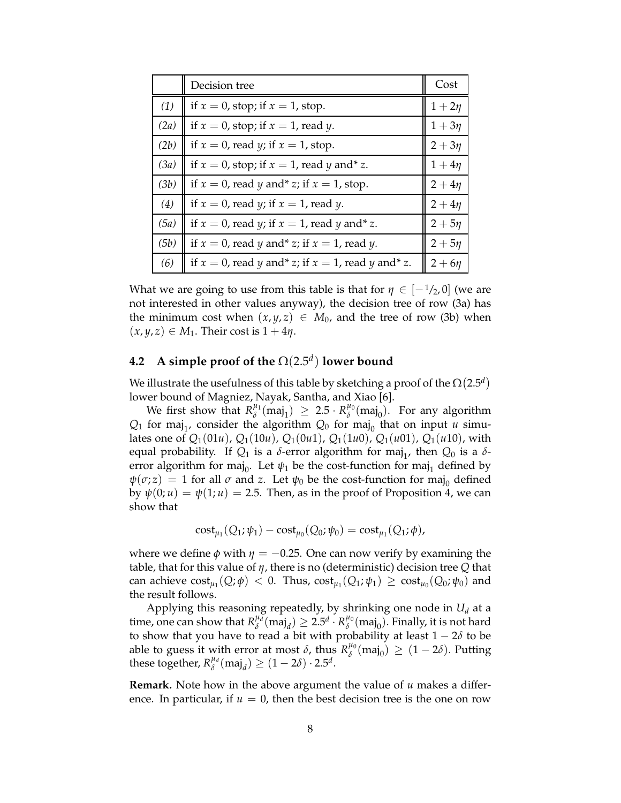|      | Decision tree                                           | Cost        |
|------|---------------------------------------------------------|-------------|
| (1)  | if $x = 0$ , stop; if $x = 1$ , stop.                   | $1 + 2\eta$ |
| (2a) | if $x = 0$ , stop; if $x = 1$ , read y.                 | $1+3\eta$   |
| (2b) | if $x = 0$ , read <i>y</i> ; if $x = 1$ , stop.         | $2+3\eta$   |
| (3a) | if $x = 0$ , stop; if $x = 1$ , read y and* z.          | $1+4\eta$   |
| (3b) | if $x = 0$ , read y and* z; if $x = 1$ , stop.          | $2 + 4\eta$ |
| (4)  | if $x = 0$ , read y; if $x = 1$ , read y.               | $2 + 4\eta$ |
| (5a) | if $x = 0$ , read y; if $x = 1$ , read y and* z.        | $2 + 5\eta$ |
| (5b) | if $x = 0$ , read y and* z; if $x = 1$ , read y.        | $2+5\eta$   |
| (6)  | if $x = 0$ , read y and* z; if $x = 1$ , read y and* z. | $2+6\eta$   |

What we are going to use from this table is that for  $\eta \in [-1/2, 0]$  (we are not interested in other values anyway), the decision tree of row (3a) has the minimum cost when  $(x, y, z) \in M_0$ , and the tree of row (3b) when  $(x, y, z) \in M_1$ . Their cost is  $1 + 4\eta$ .

# **4.2 A simple proof of the** Ω(2.5*<sup>d</sup>* ) **lower bound**

We illustrate the usefulness of this table by sketching a proof of the  $\Omega(2.5^d)$ lower bound of Magniez, Nayak, Santha, and Xiao [6].

We first show that  $R^{\mu_1}_{\delta}$  $\binom{\mu_1}{\delta}$  (maj<sub>1</sub>)  $\geq 2.5 \cdot R_{\delta}^{\mu_0}$  $\chi^{\mu_0}(\text{maj}_0)$ . For any algorithm  $Q_1$  for maj<sub>1</sub>, consider the algorithm  $Q_0$  for maj<sub>0</sub> that on input *u* simulates one of  $Q_1(01u)$ ,  $Q_1(10u)$ ,  $Q_1(0u1)$ ,  $Q_1(1u0)$ ,  $Q_1(u01)$ ,  $Q_1(u10)$ , with equal probability. If  $Q_1$  is a *δ*-error algorithm for maj<sub>1</sub>, then  $Q_0$  is a *δ*error algorithm for maj<sub>0</sub>. Let  $\psi_1$  be the cost-function for maj<sub>1</sub> defined by  $\psi(\sigma; z) = 1$  for all  $\sigma$  and  $z$ . Let  $\psi_0$  be the cost-function for maj<sub>0</sub> defined by  $\psi(0; u) = \psi(1; u) = 2.5$ . Then, as in the proof of Proposition 4, we can show that

$$
cost_{\mu_1}(Q_1; \psi_1) - cost_{\mu_0}(Q_0; \psi_0) = cost_{\mu_1}(Q_1; \phi),
$$

where we define  $\phi$  with  $\eta = -0.25$ . One can now verify by examining the table, that for this value of *η*, there is no (deterministic) decision tree *Q* that can achieve  $cost_{\mu_1}(Q; \phi) < 0$ . Thus,  $cost_{\mu_1}(Q_1; \psi_1) \geq cost_{\mu_0}(Q_0; \psi_0)$  and the result follows.

Applying this reasoning repeatedly, by shrinking one node in  $U_d$  at a time, one can show that  $R_{\delta}^{\mu \lambda}$  $\chi_{\delta}^{\mu_{d}}(\text{maj}_{d}) \geq 2.5^{d} \cdot R_{\delta}^{\mu_{0}}$  $\chi_{\delta}^{\mu_0}(\mathrm{maj}_0)$ . Finally, it is not hard to show that you have to read a bit with probability at least  $1 - 2\delta$  to be able to guess it with error at most  $\delta$ , thus  $R_{\delta}^{\mu_0}$  $\chi_{\delta}^{\mu_0}(\text{maj}_0) \geq (1-2\delta)$ . Putting these together,  $R_\delta^{\mu_d}$  $\int_{\delta}^{\mu_d}$ (maj<sub>d</sub>)  $\geq (1-2\delta) \cdot 2.5^d$ .

**Remark.** Note how in the above argument the value of *u* makes a difference. In particular, if  $u = 0$ , then the best decision tree is the one on row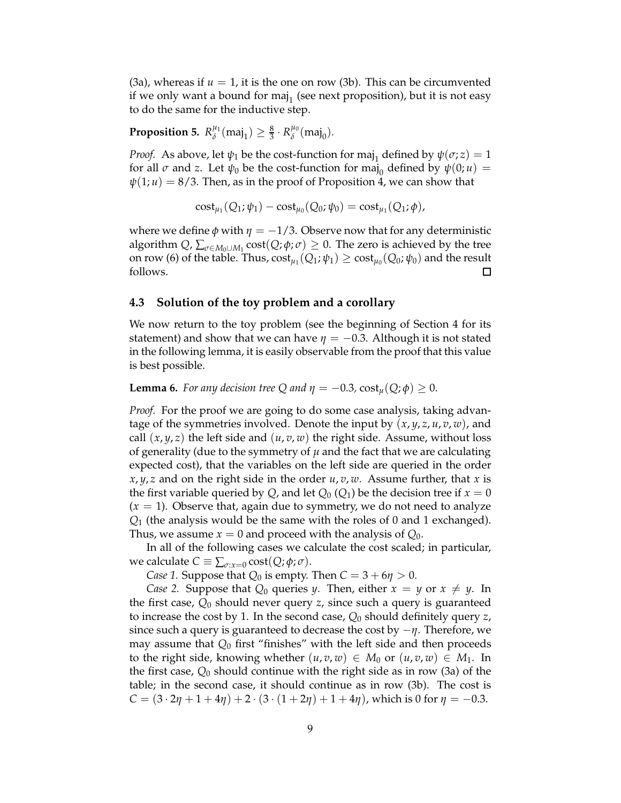$(3a)$ , whereas if  $u = 1$ , it is the one on row  $(3b)$ . This can be circumvented if we only want a bound for maj $_1$  (see next proposition), but it is not easy to do the same for the inductive step.

**Proposition 5.**  $R_{\delta}^{\mu_1}$  $\chi_{\delta}^{\mu_1}(\text{maj}_1) \geq \frac{8}{3} \cdot R_{\delta}^{\mu_0}$  $\frac{\mu_0}{\delta}$ (maj<sub>0</sub>).

*Proof.* As above, let  $\psi_1$  be the cost-function for maj<sub>1</sub> defined by  $\psi(\sigma; z) = 1$ for all  $\sigma$  and  $z$ . Let  $\psi_0$  be the cost-function for maj<sub>0</sub> defined by  $\psi(0;u)$  =  $\psi(1; u) = 8/3$ . Then, as in the proof of Proposition 4, we can show that

$$
cost_{\mu_1}(Q_1; \psi_1) - cost_{\mu_0}(Q_0; \psi_0) = cost_{\mu_1}(Q_1; \phi),
$$

where we define  $\phi$  with  $\eta = -1/3$ . Observe now that for any deterministic algorithm  $Q$ ,  $\sum_{\sigma \in M_0 \cup M_1} cost(Q; \phi; \sigma) \geq 0$ . The zero is achieved by the tree on row (6) of the table. Thus,  $\mathrm{cost}_{\mu_1}(Q_1; \psi_1) \geq \mathrm{cost}_{\mu_0}(Q_0; \psi_0)$  and the result follows.  $\Box$ 

#### **4.3 Solution of the toy problem and a corollary**

We now return to the toy problem (see the beginning of Section 4 for its statement) and show that we can have  $\eta = -0.3$ . Although it is not stated in the following lemma, it is easily observable from the proof that this value is best possible.

**Lemma 6.** *For any decision tree Q and*  $\eta = -0.3$ ,  $\text{cost}_u(Q; \phi) \geq 0$ .

*Proof.* For the proof we are going to do some case analysis, taking advantage of the symmetries involved. Denote the input by  $(x, y, z, u, v, w)$ , and call  $(x, y, z)$  the left side and  $(u, v, w)$  the right side. Assume, without loss of generality (due to the symmetry of  $\mu$  and the fact that we are calculating expected cost), that the variables on the left side are queried in the order *x*, *y*, *z* and on the right side in the order *u*, *v*, *w*. Assume further, that *x* is the first variable queried by *Q*, and let  $Q_0(Q_1)$  be the decision tree if  $x = 0$  $(x = 1)$ . Observe that, again due to symmetry, we do not need to analyze *Q*<sup>1</sup> (the analysis would be the same with the roles of 0 and 1 exchanged). Thus, we assume  $x = 0$  and proceed with the analysis of  $Q_0$ .

In all of the following cases we calculate the cost scaled; in particular, we calculate  $C \equiv \sum_{\sigma: x=0} \text{cost}(Q; \phi; \sigma)$ .

*Case 1.* Suppose that  $Q_0$  is empty. Then  $C = 3 + 6\eta > 0$ .

*Case 2.* Suppose that  $Q_0$  queries *y*. Then, either  $x = y$  or  $x \neq y$ . In the first case, *Q*<sup>0</sup> should never query *z*, since such a query is guaranteed to increase the cost by 1. In the second case, *Q*<sup>0</sup> should definitely query *z*, since such a query is guaranteed to decrease the cost by −*η*. Therefore, we may assume that  $Q_0$  first "finishes" with the left side and then proceeds to the right side, knowing whether  $(u, v, w) \in M_0$  or  $(u, v, w) \in M_1$ . In the first case, *Q*<sup>0</sup> should continue with the right side as in row (3a) of the table; in the second case, it should continue as in row (3b). The cost is *C* =  $(3 \cdot 2\eta + 1 + 4\eta) + 2 \cdot (3 \cdot (1 + 2\eta) + 1 + 4\eta)$ , which is 0 for  $\eta = -0.3$ .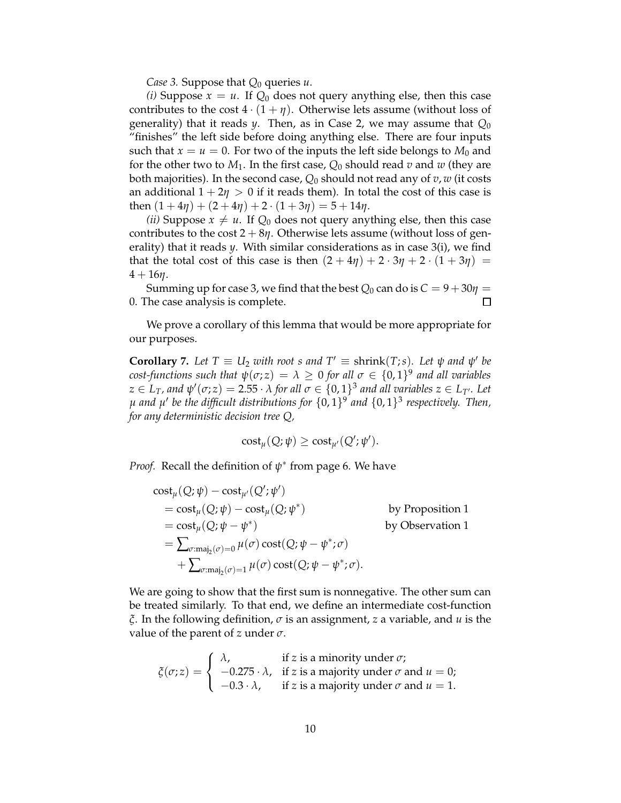*Case 3.* Suppose that *Q*<sup>0</sup> queries *u*.

*(i)* Suppose  $x = u$ . If  $Q_0$  does not query anything else, then this case contributes to the cost  $4 \cdot (1 + \eta)$ . Otherwise lets assume (without loss of generality) that it reads  $\psi$ . Then, as in Case 2, we may assume that  $Q_0$ "finishes" the left side before doing anything else. There are four inputs such that  $x = u = 0$ . For two of the inputs the left side belongs to  $M_0$  and for the other two to  $M_1$ . In the first case,  $Q_0$  should read  $v$  and  $w$  (they are both majorities). In the second case, *Q*<sup>0</sup> should not read any of *v*, *w* (it costs an additional  $1 + 2\eta > 0$  if it reads them). In total the cost of this case is then  $(1 + 4\eta) + (2 + 4\eta) + 2 \cdot (1 + 3\eta) = 5 + 14\eta$ .

*(ii)* Suppose  $x \neq u$ . If  $Q_0$  does not query anything else, then this case contributes to the cost  $2 + 8\eta$ . Otherwise lets assume (without loss of generality) that it reads *y*. With similar considerations as in case 3(i), we find that the total cost of this case is then  $(2 + 4\eta) + 2 \cdot 3\eta + 2 \cdot (1 + 3\eta) =$  $4 + 16\eta$ .

Summing up for case 3, we find that the best  $Q_0$  can do is  $C = 9 + 30\eta =$ 0. The case analysis is complete.  $\Box$ 

We prove a corollary of this lemma that would be more appropriate for our purposes.

**Corollary** 7. Let  $T \equiv U_2$  *with root s and*  $T' \equiv$  shrink $(T; s)$ *. Let*  $\psi$  *and*  $\psi'$  *be cost-functions such that*  $\psi(\sigma; z) = \lambda \geq 0$  *for all*  $\sigma \in \{0, 1\}^9$  *and all variables*  $z \in L_T$ *, and*  $\psi'(\sigma; z) = 2.55 \cdot \lambda$  *for all*  $\sigma \in \{0, 1\}^3$  *and all variables*  $z \in L_{T'}$ *. Let µ and µ* ′ *be the difficult distributions for* {0, 1} 9 *and* {0, 1} 3 *respectively. Then, for any deterministic decision tree Q,*

$$
cost_{\mu}(Q; \psi) \geq cost_{\mu'}(Q'; \psi').
$$

*Proof.* Recall the definition of *ψ* ∗ from page 6. We have

$$
\begin{aligned}\n\text{cost}_{\mu}(Q; \psi) - \text{cost}_{\mu'}(Q'; \psi') &= \text{cost}_{\mu}(Q; \psi) - \text{cost}_{\mu}(Q; \psi^*) & \text{by Proposition 1} \\
&= \text{cost}_{\mu}(Q; \psi - \psi^*) & \text{by observation 1} \\
&= \sum_{\sigma : \text{maj}_2(\sigma) = 0} \mu(\sigma) \text{cost}(Q; \psi - \psi^*; \sigma) \\
&+ \sum_{\sigma : \text{maj}_2(\sigma) = 1} \mu(\sigma) \text{cost}(Q; \psi - \psi^*; \sigma).\n\end{aligned}
$$

We are going to show that the first sum is nonnegative. The other sum can be treated similarly. To that end, we define an intermediate cost-function *ξ*. In the following definition, *σ* is an assignment, *z* a variable, and *u* is the value of the parent of *z* under *σ*.

$$
\zeta(\sigma; z) = \begin{cases}\n\lambda, & \text{if } z \text{ is a minority under } \sigma; \\
-0.275 \cdot \lambda, & \text{if } z \text{ is a majority under } \sigma \text{ and } u = 0; \\
-0.3 \cdot \lambda, & \text{if } z \text{ is a majority under } \sigma \text{ and } u = 1.\n\end{cases}
$$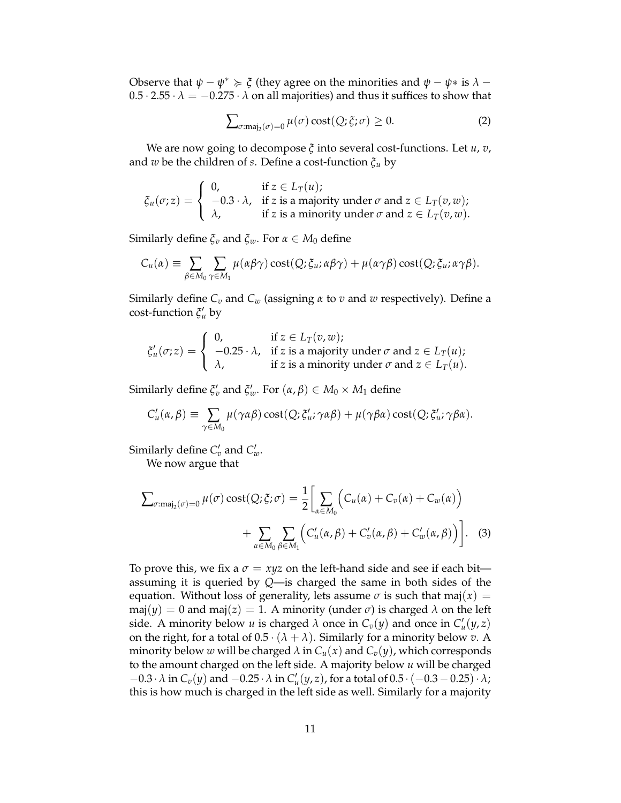Observe that  $\psi - \psi^* \succcurlyeq \xi$  (they agree on the minorities and  $\psi - \psi^*$  is  $\lambda$  –  $0.5 \cdot 2.55 \cdot \lambda = -0.275 \cdot \lambda$  on all majorities) and thus it suffices to show that

$$
\sum_{\sigma:\text{maj}_2(\sigma)=0} \mu(\sigma) \cos\left(\frac{Q}{\sigma}; \sigma\right) \ge 0. \tag{2}
$$

We are now going to decompose *ξ* into several cost-functions. Let *u*, *v*, and *w* be the children of *s*. Define a cost-function *ξ<sup>u</sup>* by

$$
\xi_u(\sigma; z) = \begin{cases}\n0, & \text{if } z \in L_T(u); \\
-0.3 \cdot \lambda, & \text{if } z \text{ is a majority under } \sigma \text{ and } z \in L_T(v, w); \\
\lambda, & \text{if } z \text{ is a minority under } \sigma \text{ and } z \in L_T(v, w).\n\end{cases}
$$

Similarly define  $\xi$ <sup>*ν*</sup> and  $\xi$ <sup>*w*</sup>. For *α*  $\in$  *M*<sup>0</sup> define

$$
C_u(\alpha) \equiv \sum_{\beta \in M_0} \sum_{\gamma \in M_1} \mu(\alpha \beta \gamma) \cot(Q; \xi_u; \alpha \beta \gamma) + \mu(\alpha \gamma \beta) \cot(Q; \xi_u; \alpha \gamma \beta).
$$

Similarly define *C<sup>v</sup>* and *C<sup>w</sup>* (assigning *α* to *v* and *w* respectively). Define a cost-function  $\zeta_u'$  by

$$
\xi'_u(\sigma; z) = \begin{cases}\n0, & \text{if } z \in L_T(v, w); \\
-0.25 \cdot \lambda, & \text{if } z \text{ is a majority under } \sigma \text{ and } z \in L_T(u); \\
\lambda, & \text{if } z \text{ is a minority under } \sigma \text{ and } z \in L_T(u).\n\end{cases}
$$

Similarly define  $\xi_v'$  and  $\xi_w'$ . For  $(\alpha, \beta) \in M_0 \times M_1$  define

$$
C'_{u}(\alpha,\beta) \equiv \sum_{\gamma \in M_0} \mu(\gamma \alpha \beta) \cot(Q; \xi'_{u}; \gamma \alpha \beta) + \mu(\gamma \beta \alpha) \cot(Q; \xi'_{u}; \gamma \beta \alpha).
$$

Similarly define  $C'_v$  and  $C'_w$ .

We now argue that

$$
\sum_{\sigma:\text{maj}_2(\sigma)=0} \mu(\sigma) \cot(Q; \xi; \sigma) = \frac{1}{2} \left[ \sum_{\alpha \in M_0} \left( C_u(\alpha) + C_v(\alpha) + C_w(\alpha) \right) + \sum_{\alpha \in M_0} \sum_{\beta \in M_1} \left( C'_u(\alpha, \beta) + C'_v(\alpha, \beta) + C'_w(\alpha, \beta) \right) \right].
$$
 (3)

To prove this, we fix a  $\sigma = xyz$  on the left-hand side and see if each bit assuming it is queried by *Q*—is charged the same in both sides of the equation. Without loss of generality, lets assume  $\sigma$  is such that maj( $x$ ) = maj( $y$ ) = 0 and maj( $z$ ) = 1. A minority (under  $\sigma$ ) is charged  $\lambda$  on the left side. A minority below *u* is charged  $\lambda$  once in  $C_v(y)$  and once in  $C'_u(y, z)$ on the right, for a total of  $0.5 \cdot (\lambda + \lambda)$ . Similarly for a minority below *v*. A minority below *w* will be charged  $\lambda$  in  $C_u(x)$  and  $C_v(y)$ , which corresponds to the amount charged on the left side. A majority below *u* will be charged  $-0.3 \cdot \lambda$  in  $C_v(y)$  and  $-0.25 \cdot \lambda$  in  $C'_u(y,z)$ , for a total of  $0.5 \cdot (-0.3-0.25) \cdot \lambda$ ; this is how much is charged in the left side as well. Similarly for a majority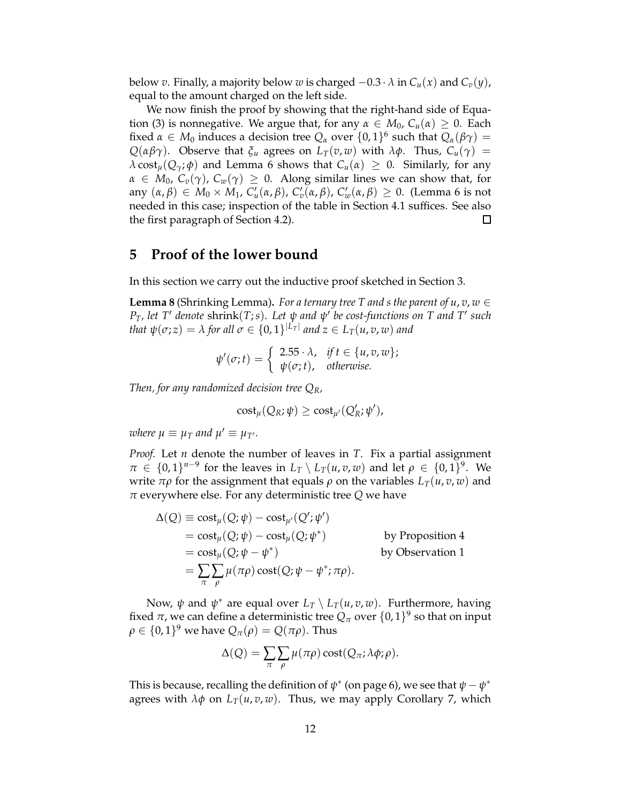below *v*. Finally, a majority below *w* is charged  $-0.3 \cdot \lambda$  in  $C_u(x)$  and  $C_v(y)$ , equal to the amount charged on the left side.

We now finish the proof by showing that the right-hand side of Equation (3) is nonnegative. We argue that, for any  $\alpha \in M_0$ ,  $C_u(\alpha) \geq 0$ . Each fixed  $\alpha \in M_0$  induces a decision tree  $Q_\alpha$  over  $\{0,1\}^6$  such that  $Q_\alpha(\beta \gamma) =$ *Q*( $\alpha\beta\gamma$ ). Observe that  $\zeta$ <sup>*u*</sup> agrees on *L<sub>T</sub>*(*v*, *w*) with *λφ*. Thus,  $C$ <sub>*u*</sub>( $\gamma$ ) = *λ* cost<sub>*μ*</sub>(*Q*<sub>*γ*</sub>; *φ*) and Lemma 6 shows that *C<sub><i>u*</sub>(*α*) ≥ 0. Similarly, for any  $\alpha \in M_0$ ,  $C_v(\gamma)$ ,  $C_w(\gamma) \geq 0$ . Along similar lines we can show that, for any  $(\alpha, \beta) \in M_0 \times M_1$ ,  $C'_u(\alpha, \beta)$ ,  $C'_v(\alpha, \beta)$ ,  $C'_w(\alpha, \beta) \geq 0$ . (Lemma 6 is not needed in this case; inspection of the table in Section 4.1 suffices. See also the first paragraph of Section 4.2).  $\Box$ 

### **5 Proof of the lower bound**

In this section we carry out the inductive proof sketched in Section 3.

**Lemma 8** (Shrinking Lemma). *For a ternary tree T and s the parent of*  $u, v, w \in$ *PT, let T*′ *denote* shrink(*T*;*s*)*. Let ψ and ψ* ′ *be cost-functions on T and T*′ *such that*  $\psi(\sigma; z) = \lambda$  *for all*  $\sigma \in \{0, 1\}^{|L_T|}$  *and*  $z \in L_T(u, v, w)$  *and* 

$$
\psi'(\sigma;t) = \begin{cases} 2.55 \cdot \lambda, & \text{if } t \in \{u, v, w\}; \\ \psi(\sigma;t), & \text{otherwise.} \end{cases}
$$

*Then, for any randomized decision tree QR,*

$$
cost_{\mu}(Q_R; \psi) \geq cost_{\mu'}(Q'_R; \psi'),
$$

*where*  $\mu \equiv \mu_T$  and  $\mu' \equiv \mu_{T'}$ .

*Proof.* Let *n* denote the number of leaves in *T*. Fix a partial assignment  $\pi \in \{0,1\}^{n-9}$  for the leaves in  $L_T \setminus L_T(u,v,w)$  and let  $\rho \in \{0,1\}^9$ . We write  $\pi \rho$  for the assignment that equals  $\rho$  on the variables  $L_T(u, v, w)$  and *π* everywhere else. For any deterministic tree *Q* we have

$$
\Delta(Q) \equiv \text{cost}_{\mu}(Q; \psi) - \text{cost}_{\mu'}(Q'; \psi')
$$
  
=  $\text{cost}_{\mu}(Q; \psi) - \text{cost}_{\mu}(Q; \psi^*)$  by Proposition 4  
=  $\text{cost}_{\mu}(Q; \psi - \psi^*)$  by Observation 1  
=  $\sum_{\pi} \sum_{\rho} \mu(\pi \rho) \text{cost}(Q; \psi - \psi^*; \pi \rho).$ 

Now, *ψ* and *ψ*<sup>\*</sup> are equal over  $L_T \setminus L_T(u,v,w)$ . Furthermore, having fixed  $\pi$ , we can define a deterministic tree  $Q_{\pi}$  over  $\{0,1\}^9$  so that on input  $\rho \in \{0,1\}^9$  we have  $Q_{\pi}(\rho) = Q(\pi \rho)$ . Thus

$$
\Delta(Q) = \sum_{\pi} \sum_{\rho} \mu(\pi \rho) \cot(Q_{\pi}; \lambda \phi; \rho).
$$

This is because, recalling the definition of  $\psi^*$  (on page 6), we see that  $\psi - \psi^*$ agrees with  $\lambda \phi$  on  $L_T(u, v, w)$ . Thus, we may apply Corollary 7, which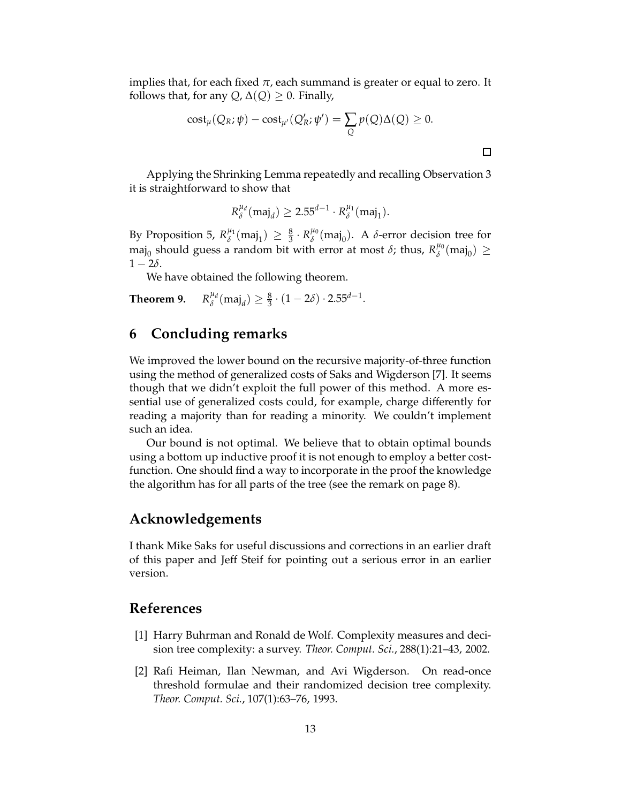implies that, for each fixed  $\pi$ , each summand is greater or equal to zero. It follows that, for any  $Q$ ,  $\Delta(Q) \geq 0$ . Finally,

$$
cost_{\mu}(Q_R; \psi) - cost_{\mu'}(Q'_R; \psi') = \sum_{Q} p(Q) \Delta(Q) \ge 0.
$$

Applying the Shrinking Lemma repeatedly and recalling Observation 3 it is straightforward to show that

$$
R_{\delta}^{\mu_d}(\text{maj}_d) \ge 2.55^{d-1} \cdot R_{\delta}^{\mu_1}(\text{maj}_1).
$$

By Proposition 5,  $R^{\mu_1}_{\delta}$  $\chi_{\delta}^{\mu_1}(\text{maj}_1) \geq \frac{8}{3} \cdot R_{\delta}^{\mu_0}$  $\phi^{\mu_0}$ (maj<sub>0</sub>). A *δ*-error decision tree for maj<sub>0</sub> should guess a random bit with error at most  $\delta$ ; thus,  $R_{\delta}^{\mu_0}$  $b^{\mu_0}$ (maj<sub>0</sub>)  $\geq$  $1 - 2\delta$ .

We have obtained the following theorem.

**Theorem 9.** *µd*  $\frac{\mu_d}{\delta}$ (maj<sub>d</sub>)  $\geq \frac{8}{3} \cdot (1 - 2\delta) \cdot 2.55^{d-1}.$ 

### **6 Concluding remarks**

We improved the lower bound on the recursive majority-of-three function using the method of generalized costs of Saks and Wigderson [7]. It seems though that we didn't exploit the full power of this method. A more essential use of generalized costs could, for example, charge differently for reading a majority than for reading a minority. We couldn't implement such an idea.

Our bound is not optimal. We believe that to obtain optimal bounds using a bottom up inductive proof it is not enough to employ a better costfunction. One should find a way to incorporate in the proof the knowledge the algorithm has for all parts of the tree (see the remark on page 8).

### **Acknowledgements**

I thank Mike Saks for useful discussions and corrections in an earlier draft of this paper and Jeff Steif for pointing out a serious error in an earlier version.

### **References**

- [1] Harry Buhrman and Ronald de Wolf. Complexity measures and decision tree complexity: a survey. *Theor. Comput. Sci.*, 288(1):21–43, 2002.
- [2] Rafi Heiman, Ilan Newman, and Avi Wigderson. On read-once threshold formulae and their randomized decision tree complexity. *Theor. Comput. Sci.*, 107(1):63–76, 1993.

 $\Box$